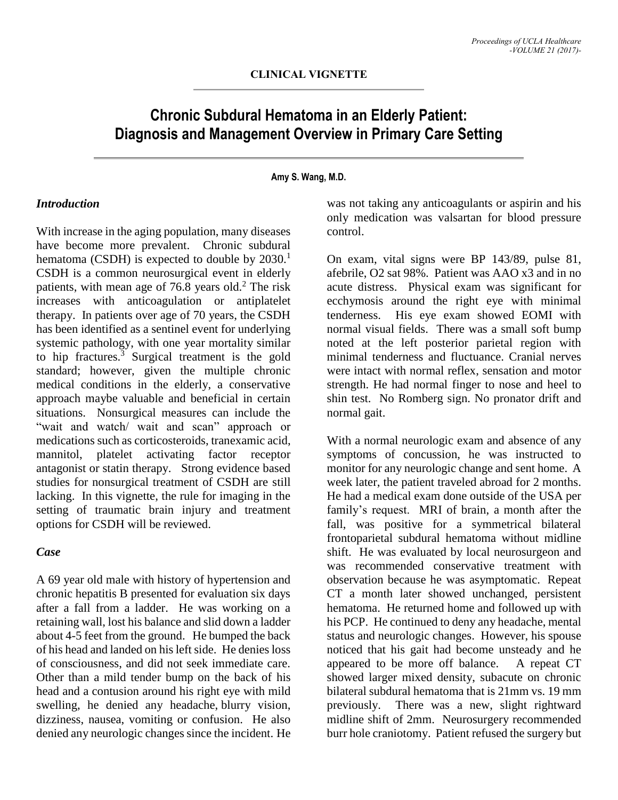# **Chronic Subdural Hematoma in an Elderly Patient: Diagnosis and Management Overview in Primary Care Setting**

**Amy S. Wang, M.D.**

### *Introduction*

With increase in the aging population, many diseases have become more prevalent. Chronic subdural hematoma (CSDH) is expected to double by  $2030<sup>1</sup>$ CSDH is a common neurosurgical event in elderly patients, with mean age of  $76.8$  years old.<sup>2</sup> The risk increases with anticoagulation or antiplatelet therapy. In patients over age of 70 years, the CSDH has been identified as a sentinel event for underlying systemic pathology, with one year mortality similar to hip fractures. $3$  Surgical treatment is the gold standard; however, given the multiple chronic medical conditions in the elderly, a conservative approach maybe valuable and beneficial in certain situations. Nonsurgical measures can include the "wait and watch/ wait and scan" approach or medications such as corticosteroids, tranexamic acid, mannitol, platelet activating factor receptor antagonist or statin therapy. Strong evidence based studies for nonsurgical treatment of CSDH are still lacking. In this vignette, the rule for imaging in the setting of traumatic brain injury and treatment options for CSDH will be reviewed.

### *Case*

A 69 year old male with history of hypertension and chronic hepatitis B presented for evaluation six days after a fall from a ladder. He was working on a retaining wall, lost his balance and slid down a ladder about 4-5 feet from the ground. He bumped the back of his head and landed on his left side. He denies loss of consciousness, and did not seek immediate care. Other than a mild tender bump on the back of his head and a contusion around his right eye with mild swelling, he denied any headache, blurry vision, dizziness, nausea, vomiting or confusion. He also denied any neurologic changes since the incident. He

was not taking any anticoagulants or aspirin and his only medication was valsartan for blood pressure control.

On exam, vital signs were BP 143/89, pulse 81, afebrile, O2 sat 98%. Patient was AAO x3 and in no acute distress. Physical exam was significant for ecchymosis around the right eye with minimal tenderness. His eye exam showed EOMI with normal visual fields. There was a small soft bump noted at the left posterior parietal region with minimal tenderness and fluctuance. Cranial nerves were intact with normal reflex, sensation and motor strength. He had normal finger to nose and heel to shin test. No Romberg sign. No pronator drift and normal gait.

With a normal neurologic exam and absence of any symptoms of concussion, he was instructed to monitor for any neurologic change and sent home. A week later, the patient traveled abroad for 2 months. He had a medical exam done outside of the USA per family's request. MRI of brain, a month after the fall, was positive for a symmetrical bilateral frontoparietal subdural hematoma without midline shift. He was evaluated by local neurosurgeon and was recommended conservative treatment with observation because he was asymptomatic. Repeat CT a month later showed unchanged, persistent hematoma. He returned home and followed up with his PCP. He continued to deny any headache, mental status and neurologic changes. However, his spouse noticed that his gait had become unsteady and he appeared to be more off balance. A repeat CT showed larger mixed density, subacute on chronic bilateral subdural hematoma that is 21mm vs. 19 mm previously. There was a new, slight rightward midline shift of 2mm. Neurosurgery recommended burr hole craniotomy. Patient refused the surgery but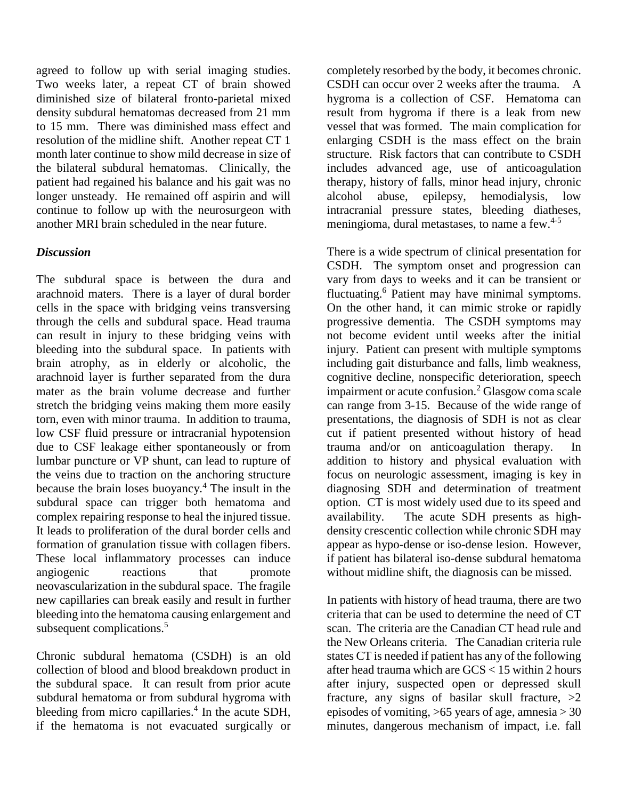agreed to follow up with serial imaging studies. Two weeks later, a repeat CT of brain showed diminished size of bilateral fronto-parietal mixed density subdural hematomas decreased from 21 mm to 15 mm. There was diminished mass effect and resolution of the midline shift. Another repeat CT 1 month later continue to show mild decrease in size of the bilateral subdural hematomas. Clinically, the patient had regained his balance and his gait was no longer unsteady. He remained off aspirin and will continue to follow up with the neurosurgeon with another MRI brain scheduled in the near future.

## *Discussion*

The subdural space is between the dura and arachnoid maters. There is a layer of dural border cells in the space with bridging veins transversing through the cells and subdural space. Head trauma can result in injury to these bridging veins with bleeding into the subdural space. In patients with brain atrophy, as in elderly or alcoholic, the arachnoid layer is further separated from the dura mater as the brain volume decrease and further stretch the bridging veins making them more easily torn, even with minor trauma. In addition to trauma, low CSF fluid pressure or intracranial hypotension due to CSF leakage either spontaneously or from lumbar puncture or VP shunt, can lead to rupture of the veins due to traction on the anchoring structure because the brain loses buoyancy.<sup>4</sup> The insult in the subdural space can trigger both hematoma and complex repairing response to heal the injured tissue. It leads to proliferation of the dural border cells and formation of granulation tissue with collagen fibers. These local inflammatory processes can induce angiogenic reactions that promote neovascularization in the subdural space. The fragile new capillaries can break easily and result in further bleeding into the hematoma causing enlargement and subsequent complications.<sup>5</sup>

Chronic subdural hematoma (CSDH) is an old collection of blood and blood breakdown product in the subdural space. It can result from prior acute subdural hematoma or from subdural hygroma with bleeding from micro capillaries. 4 In the acute SDH, if the hematoma is not evacuated surgically or

completely resorbed by the body, it becomes chronic. CSDH can occur over 2 weeks after the trauma. A hygroma is a collection of CSF. Hematoma can result from hygroma if there is a leak from new vessel that was formed. The main complication for enlarging CSDH is the mass effect on the brain structure. Risk factors that can contribute to CSDH includes advanced age, use of anticoagulation therapy, history of falls, minor head injury, chronic alcohol abuse, epilepsy, hemodialysis, low intracranial pressure states, bleeding diatheses, meningioma, dural metastases, to name a few.4-5

There is a wide spectrum of clinical presentation for CSDH. The symptom onset and progression can vary from days to weeks and it can be transient or fluctuating.<sup>6</sup> Patient may have minimal symptoms. On the other hand, it can mimic stroke or rapidly progressive dementia. The CSDH symptoms may not become evident until weeks after the initial injury. Patient can present with multiple symptoms including gait disturbance and falls, limb weakness, cognitive decline, nonspecific deterioration, speech impairment or acute confusion.<sup>2</sup> Glasgow coma scale can range from 3-15. Because of the wide range of presentations, the diagnosis of SDH is not as clear cut if patient presented without history of head trauma and/or on anticoagulation therapy. In addition to history and physical evaluation with focus on neurologic assessment, imaging is key in diagnosing SDH and determination of treatment option. CT is most widely used due to its speed and availability. The acute SDH presents as highdensity crescentic collection while chronic SDH may appear as hypo-dense or iso-dense lesion. However, if patient has bilateral iso-dense subdural hematoma without midline shift, the diagnosis can be missed.

In patients with history of head trauma, there are two criteria that can be used to determine the need of CT scan. The criteria are the Canadian CT head rule and the New Orleans criteria. The Canadian criteria rule states CT is needed if patient has any of the following after head trauma which are GCS < 15 within 2 hours after injury, suspected open or depressed skull fracture, any signs of basilar skull fracture,  $>2$ episodes of vomiting,  $>65$  years of age, amnesia  $>30$ minutes, dangerous mechanism of impact, i.e. fall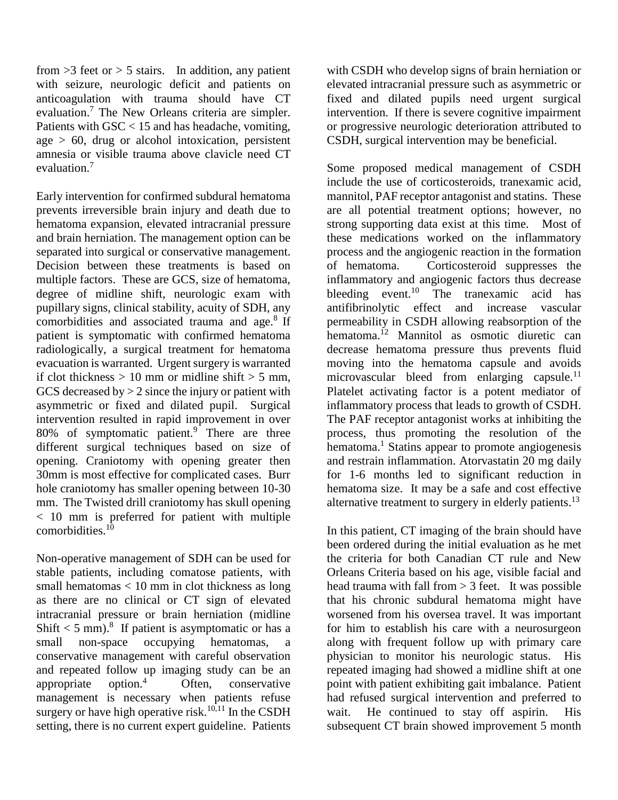from  $>3$  feet or  $> 5$  stairs. In addition, any patient with seizure, neurologic deficit and patients on anticoagulation with trauma should have CT evaluation. <sup>7</sup> The New Orleans criteria are simpler. Patients with GSC < 15 and has headache, vomiting, age  $> 60$ , drug or alcohol intoxication, persistent amnesia or visible trauma above clavicle need CT evaluation.<sup>7</sup>

Early intervention for confirmed subdural hematoma prevents irreversible brain injury and death due to hematoma expansion, elevated intracranial pressure and brain herniation. The management option can be separated into surgical or conservative management. Decision between these treatments is based on multiple factors. These are GCS, size of hematoma, degree of midline shift, neurologic exam with pupillary signs, clinical stability, acuity of SDH, any comorbidities and associated trauma and age.<sup>8</sup> If patient is symptomatic with confirmed hematoma radiologically, a surgical treatment for hematoma evacuation is warranted. Urgent surgery is warranted if clot thickness  $> 10$  mm or midline shift  $> 5$  mm, GCS decreased by  $> 2$  since the injury or patient with asymmetric or fixed and dilated pupil. Surgical intervention resulted in rapid improvement in over 80% of symptomatic patient. $9^{1}$  There are three different surgical techniques based on size of opening. Craniotomy with opening greater then 30mm is most effective for complicated cases. Burr hole craniotomy has smaller opening between 10-30 mm. The Twisted drill craniotomy has skull opening < 10 mm is preferred for patient with multiple comorbidities.<sup>10</sup>

Non-operative management of SDH can be used for stable patients, including comatose patients, with small hematomas < 10 mm in clot thickness as long as there are no clinical or CT sign of elevated intracranial pressure or brain herniation (midline Shift  $<$  5 mm).<sup>8</sup> If patient is asymptomatic or has a small non-space occupying hematomas, a conservative management with careful observation and repeated follow up imaging study can be an appropriate option. $\frac{4}{1}$  Often, conservative management is necessary when patients refuse surgery or have high operative risk.<sup>10,11</sup> In the CSDH setting, there is no current expert guideline. Patients

with CSDH who develop signs of brain herniation or elevated intracranial pressure such as asymmetric or fixed and dilated pupils need urgent surgical intervention. If there is severe cognitive impairment or progressive neurologic deterioration attributed to CSDH, surgical intervention may be beneficial.

Some proposed medical management of CSDH include the use of corticosteroids, tranexamic acid, mannitol, PAF receptor antagonist and statins. These are all potential treatment options; however, no strong supporting data exist at this time. Most of these medications worked on the inflammatory process and the angiogenic reaction in the formation of hematoma. Corticosteroid suppresses the inflammatory and angiogenic factors thus decrease bleeding event.<sup>10</sup> The tranexamic acid has antifibrinolytic effect and increase vascular permeability in CSDH allowing reabsorption of the hematoma.<sup>12</sup> Mannitol as osmotic diuretic can decrease hematoma pressure thus prevents fluid moving into the hematoma capsule and avoids microvascular bleed from enlarging capsule. $^{11}$ Platelet activating factor is a potent mediator of inflammatory process that leads to growth of CSDH. The PAF receptor antagonist works at inhibiting the process, thus promoting the resolution of the hematoma.<sup>1</sup> Statins appear to promote angiogenesis and restrain inflammation. Atorvastatin 20 mg daily for 1-6 months led to significant reduction in hematoma size. It may be a safe and cost effective alternative treatment to surgery in elderly patients.<sup>13</sup>

In this patient, CT imaging of the brain should have been ordered during the initial evaluation as he met the criteria for both Canadian CT rule and New Orleans Criteria based on his age, visible facial and head trauma with fall from  $> 3$  feet. It was possible that his chronic subdural hematoma might have worsened from his oversea travel. It was important for him to establish his care with a neurosurgeon along with frequent follow up with primary care physician to monitor his neurologic status. His repeated imaging had showed a midline shift at one point with patient exhibiting gait imbalance. Patient had refused surgical intervention and preferred to wait. He continued to stay off aspirin. His subsequent CT brain showed improvement 5 month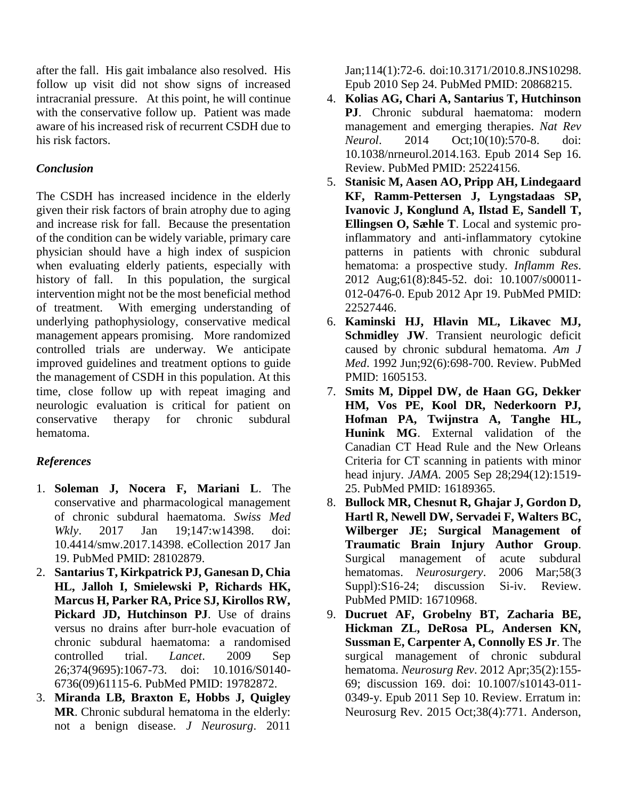after the fall. His gait imbalance also resolved. His follow up visit did not show signs of increased intracranial pressure. At this point, he will continue with the conservative follow up. Patient was made aware of his increased risk of recurrent CSDH due to his risk factors.

## *Conclusion*

The CSDH has increased incidence in the elderly given their risk factors of brain atrophy due to aging and increase risk for fall. Because the presentation of the condition can be widely variable, primary care physician should have a high index of suspicion when evaluating elderly patients, especially with history of fall. In this population, the surgical intervention might not be the most beneficial method of treatment. With emerging understanding of underlying pathophysiology, conservative medical management appears promising. More randomized controlled trials are underway. We anticipate improved guidelines and treatment options to guide the management of CSDH in this population. At this time, close follow up with repeat imaging and neurologic evaluation is critical for patient on conservative therapy for chronic subdural hematoma.

# *References*

- 1. **Soleman J, Nocera F, Mariani L**. The conservative and pharmacological management of chronic subdural haematoma. *Swiss Med Wkly*. 2017 Jan 19;147:w14398. doi: 10.4414/smw.2017.14398. eCollection 2017 Jan 19. PubMed PMID: 28102879.
- 2. **Santarius T, Kirkpatrick PJ, Ganesan D, Chia HL, Jalloh I, Smielewski P, Richards HK, Marcus H, Parker RA, Price SJ, Kirollos RW, Pickard JD, Hutchinson PJ**. Use of drains versus no drains after burr-hole evacuation of chronic subdural haematoma: a randomised controlled trial. *Lancet*. 2009 Sep 26;374(9695):1067-73. doi: 10.1016/S0140- 6736(09)61115-6. PubMed PMID: 19782872.
- 3. **Miranda LB, Braxton E, Hobbs J, Quigley MR**. Chronic subdural hematoma in the elderly: not a benign disease. *J Neurosurg*. 2011

Jan;114(1):72-6. doi:10.3171/2010.8.JNS10298. Epub 2010 Sep 24. PubMed PMID: 20868215.

- 4. **Kolias AG, Chari A, Santarius T, Hutchinson PJ**. Chronic subdural haematoma: modern management and emerging therapies. *Nat Rev Neurol*. 2014 Oct;10(10):570-8. doi: 10.1038/nrneurol.2014.163. Epub 2014 Sep 16. Review. PubMed PMID: 25224156.
- 5. **Stanisic M, Aasen AO, Pripp AH, Lindegaard KF, Ramm-Pettersen J, Lyngstadaas SP, Ivanovic J, Konglund A, Ilstad E, Sandell T, Ellingsen O, Sæhle T**. Local and systemic proinflammatory and anti-inflammatory cytokine patterns in patients with chronic subdural hematoma: a prospective study. *Inflamm Res*. 2012 Aug;61(8):845-52. doi: 10.1007/s00011- 012-0476-0. Epub 2012 Apr 19. PubMed PMID: 22527446.
- 6. **Kaminski HJ, Hlavin ML, Likavec MJ, Schmidley JW**. Transient neurologic deficit caused by chronic subdural hematoma. *Am J Med*. 1992 Jun;92(6):698-700. Review. PubMed PMID: 1605153.
- 7. **Smits M, Dippel DW, de Haan GG, Dekker HM, Vos PE, Kool DR, Nederkoorn PJ, Hofman PA, Twijnstra A, Tanghe HL, Hunink MG**. External validation of the Canadian CT Head Rule and the New Orleans Criteria for CT scanning in patients with minor head injury. *JAMA*. 2005 Sep 28;294(12):1519- 25. PubMed PMID: 16189365.
- 8. **Bullock MR, Chesnut R, Ghajar J, Gordon D, Hartl R, Newell DW, Servadei F, Walters BC, Wilberger JE; Surgical Management of Traumatic Brain Injury Author Group**. Surgical management of acute subdural hematomas. *Neurosurgery*. 2006 Mar;58(3 Suppl):S16-24; discussion Si-iv. Review. PubMed PMID: 16710968.
- 9. **Ducruet AF, Grobelny BT, Zacharia BE, Hickman ZL, DeRosa PL, Andersen KN, Sussman E, Carpenter A, Connolly ES Jr**. The surgical management of chronic subdural hematoma. *Neurosurg Rev*. 2012 Apr;35(2):155- 69; discussion 169. doi: 10.1007/s10143-011- 0349-y. Epub 2011 Sep 10. Review. Erratum in: Neurosurg Rev. 2015 Oct;38(4):771. Anderson,